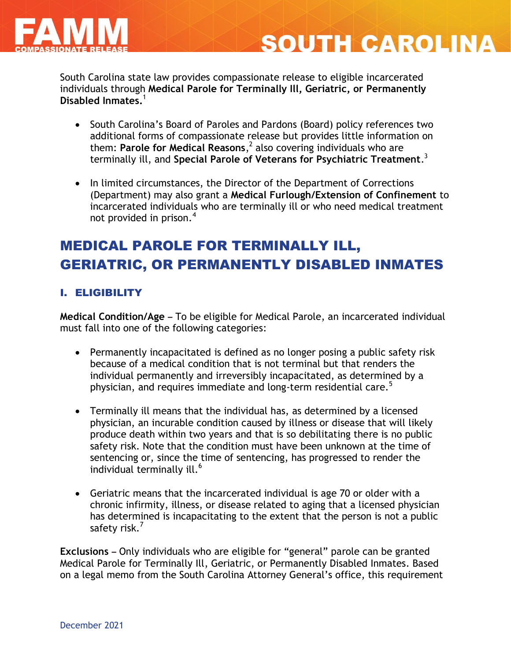

# **SOUTH CAROLINA**

South Carolina state law provides compassionate release to eligible incarcerated individuals through **Medical Parole for Terminally Ill, Geriatric, or Permanently Disabled Inmates.**<sup>1</sup>

- South Carolina's Board of Paroles and Pardons (Board) policy references two additional forms of compassionate release but provides little information on them: **Parole for Medical Reasons**, 2 also covering individuals who are terminally ill, and **Special Parole of Veterans for Psychiatric Treatment**. 3
- In limited circumstances, the Director of the Department of Corrections (Department) may also grant a **Medical Furlough/Extension of Confinement** to incarcerated individuals who are terminally ill or who need medical treatment not provided in prison. $4$

# MEDICAL PAROLE FOR TERMINALLY ILL, GERIATRIC, OR PERMANENTLY DISABLED INMATES

### I. ELIGIBILITY

**Medical Condition/Age –** To be eligible for Medical Parole, an incarcerated individual must fall into one of the following categories:

- Permanently incapacitated is defined as no longer posing a public safety risk because of a medical condition that is not terminal but that renders the individual permanently and irreversibly incapacitated, as determined by a physician, and requires immediate and long-term residential care.<sup>5</sup>
- Terminally ill means that the individual has, as determined by a licensed physician, an incurable condition caused by illness or disease that will likely produce death within two years and that is so debilitating there is no public safety risk. Note that the condition must have been unknown at the time of sentencing or, since the time of sentencing, has progressed to render the individual terminally ill.<sup>6</sup>
- Geriatric means that the incarcerated individual is age 70 or older with a chronic infirmity, illness, or disease related to aging that a licensed physician has determined is incapacitating to the extent that the person is not a public safety risk.<sup>7</sup>

**Exclusions –** Only individuals who are eligible for "general" parole can be granted Medical Parole for Terminally Ill, Geriatric, or Permanently Disabled Inmates. Based on a legal memo from the South Carolina Attorney General's office, this requirement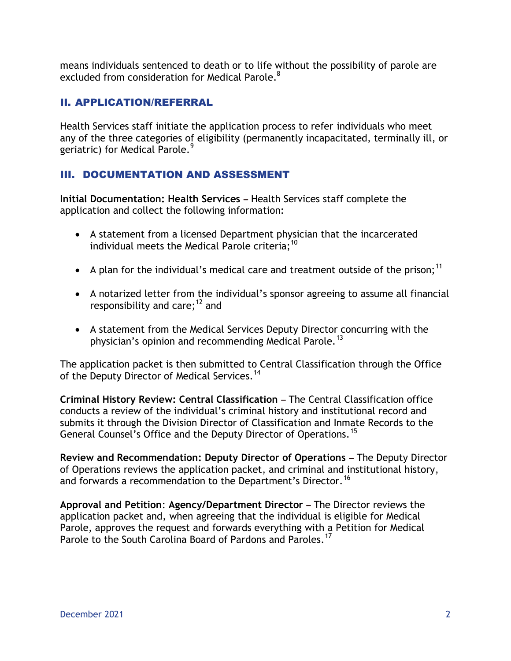means individuals sentenced to death or to life without the possibility of parole are excluded from consideration for Medical Parole. $^8$ 

### II. APPLICATION/REFERRAL

Health Services staff initiate the application process to refer individuals who meet any of the three categories of eligibility (permanently incapacitated, terminally ill, or geriatric) for Medical Parole.<sup>9</sup>

### III. DOCUMENTATION AND ASSESSMENT

**Initial Documentation: Health Services –** Health Services staff complete the application and collect the following information:

- A statement from a licensed Department physician that the incarcerated individual meets the Medical Parole criteria;<sup>10</sup>
- A plan for the individual's medical care and treatment outside of the prison;<sup>11</sup>
- A notarized letter from the individual's sponsor agreeing to assume all financial responsibility and care; $^{12}$  and
- A statement from the Medical Services Deputy Director concurring with the physician's opinion and recommending Medical Parole.<sup>13</sup>

The application packet is then submitted to Central Classification through the Office of the Deputy Director of Medical Services.<sup>14</sup>

**Criminal History Review: Central Classification –** The Central Classification office conducts a review of the individual's criminal history and institutional record and submits it through the Division Director of Classification and Inmate Records to the General Counsel's Office and the Deputy Director of Operations.<sup>15</sup>

**Review and Recommendation: Deputy Director of Operations –** The Deputy Director of Operations reviews the application packet, and criminal and institutional history, and forwards a recommendation to the Department's Director.<sup>16</sup>

**Approval and Petition**: **Agency/Department Director –** The Director reviews the application packet and, when agreeing that the individual is eligible for Medical Parole, approves the request and forwards everything with a Petition for Medical Parole to the South Carolina Board of Pardons and Paroles.<sup>17</sup>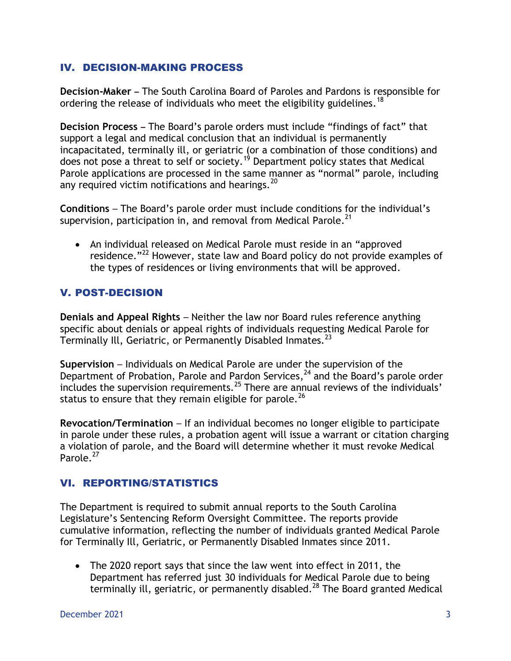### IV. DECISION-MAKING PROCESS

**Decision-Maker –** The South Carolina Board of Paroles and Pardons is responsible for ordering the release of individuals who meet the eligibility guidelines.<sup>18</sup>

**Decision Process –** The Board's parole orders must include "findings of fact" that support a legal and medical conclusion that an individual is permanently incapacitated, terminally ill, or geriatric (or a combination of those conditions) and does not pose a threat to self or society.<sup>19</sup> Department policy states that Medical Parole applications are processed in the same manner as "normal" parole, including any required victim notifications and hearings.<sup>20</sup>

**Conditions** – The Board's parole order must include conditions for the individual's supervision, participation in, and removal from Medical Parole.<sup>21</sup>

• An individual released on Medical Parole must reside in an "approved residence."<sup>22</sup> However, state law and Board policy do not provide examples of the types of residences or living environments that will be approved.

### V. POST-DECISION

**Denials and Appeal Rights** – Neither the law nor Board rules reference anything specific about denials or appeal rights of individuals requesting Medical Parole for Terminally Ill, Geriatric, or Permanently Disabled Inmates.<sup>23</sup>

**Supervision** – Individuals on Medical Parole are under the supervision of the Department of Probation, Parole and Pardon Services,<sup>24</sup> and the Board's parole order includes the supervision requirements.<sup>25</sup> There are annual reviews of the individuals' status to ensure that they remain eligible for parole.<sup>26</sup>

**Revocation/Termination** – If an individual becomes no longer eligible to participate in parole under these rules, a probation agent will issue a warrant or citation charging a violation of parole, and the Board will determine whether it must revoke Medical Parole.<sup>27</sup>

### VI. REPORTING/STATISTICS

The Department is required to submit annual reports to the South Carolina Legislature's Sentencing Reform Oversight Committee. The reports provide cumulative information, reflecting the number of individuals granted Medical Parole for Terminally Ill, Geriatric, or Permanently Disabled Inmates since 2011.

 The 2020 report says that since the law went into effect in 2011, the Department has referred just 30 individuals for Medical Parole due to being terminally ill, geriatric, or permanently disabled.<sup>28</sup> The Board granted Medical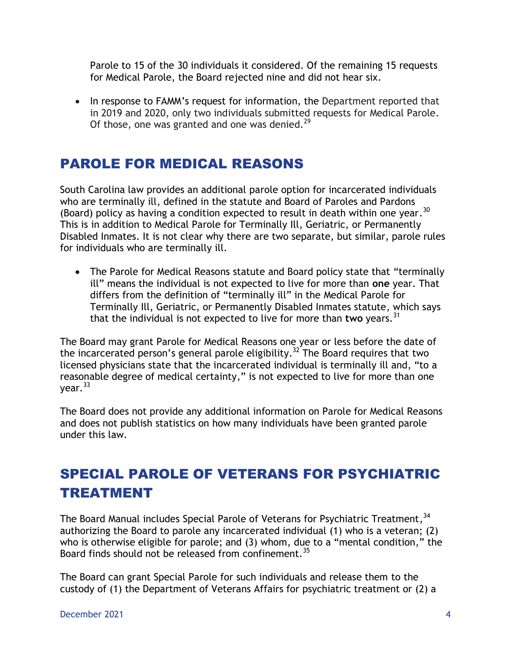Parole to 15 of the 30 individuals it considered. Of the remaining 15 requests for Medical Parole, the Board rejected nine and did not hear six.

• In response to FAMM's request for information, the Department reported that in 2019 and 2020, only two individuals submitted requests for Medical Parole. Of those, one was granted and one was denied.<sup>29</sup>

# PAROLE FOR MEDICAL REASONS

South Carolina law provides an additional parole option for incarcerated individuals who are terminally ill, defined in the statute and Board of Paroles and Pardons (Board) policy as having a condition expected to result in death within one year.  $30$ This is in addition to Medical Parole for Terminally Ill, Geriatric, or Permanently Disabled Inmates. It is not clear why there are two separate, but similar, parole rules for individuals who are terminally ill.

• The Parole for Medical Reasons statute and Board policy state that "terminally ill" means the individual is not expected to live for more than **one** year. That differs from the definition of "terminally ill" in the Medical Parole for Terminally Ill, Geriatric, or Permanently Disabled Inmates statute, which says that the individual is not expected to live for more than **two** years.<sup>31</sup>

The Board may grant Parole for Medical Reasons one year or less before the date of the incarcerated person's general parole eligibility.<sup>32</sup> The Board requires that two licensed physicians state that the incarcerated individual is terminally ill and, "to a reasonable degree of medical certainty," is not expected to live for more than one  $year.<sup>33</sup>$ 

The Board does not provide any additional information on Parole for Medical Reasons and does not publish statistics on how many individuals have been granted parole under this law.

# SPECIAL PAROLE OF VETERANS FOR PSYCHIATRIC TREATMENT

The Board Manual includes Special Parole of Veterans for Psychiatric Treatment,  $^{34}$ authorizing the Board to parole any incarcerated individual (1) who is a veteran; (2) who is otherwise eligible for parole; and (3) whom, due to a "mental condition," the Board finds should not be released from confinement.<sup>35</sup>

The Board can grant Special Parole for such individuals and release them to the custody of (1) the Department of Veterans Affairs for psychiatric treatment or (2) a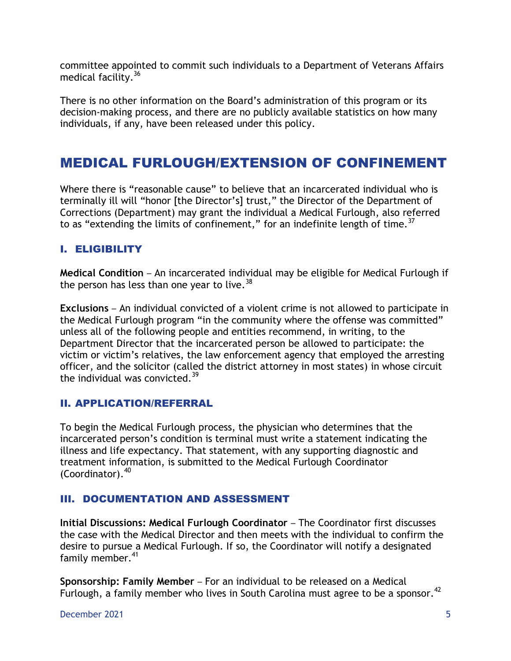committee appointed to commit such individuals to a Department of Veterans Affairs medical facility.<sup>36</sup>

There is no other information on the Board's administration of this program or its decision-making process, and there are no publicly available statistics on how many individuals, if any, have been released under this policy.

# MEDICAL FURLOUGH/EXTENSION OF CONFINEMENT

Where there is "reasonable cause" to believe that an incarcerated individual who is terminally ill will "honor [the Director's] trust," the Director of the Department of Corrections (Department) may grant the individual a Medical Furlough, also referred to as "extending the limits of confinement," for an indefinite length of time.<sup>37</sup>

### I. ELIGIBILITY

**Medical Condition** – An incarcerated individual may be eligible for Medical Furlough if the person has less than one year to live.<sup>38</sup>

**Exclusions** – An individual convicted of a violent crime is not allowed to participate in the Medical Furlough program "in the community where the offense was committed" unless all of the following people and entities recommend, in writing, to the Department Director that the incarcerated person be allowed to participate: the victim or victim's relatives, the law enforcement agency that employed the arresting officer, and the solicitor (called the district attorney in most states) in whose circuit the individual was convicted. $39$ 

### II. APPLICATION/REFERRAL

To begin the Medical Furlough process, the physician who determines that the incarcerated person's condition is terminal must write a statement indicating the illness and life expectancy. That statement, with any supporting diagnostic and treatment information, is submitted to the Medical Furlough Coordinator  $($ Coordinator $).$ <sup>40</sup>

### III. DOCUMENTATION AND ASSESSMENT

**Initial Discussions: Medical Furlough Coordinator** – The Coordinator first discusses the case with the Medical Director and then meets with the individual to confirm the desire to pursue a Medical Furlough. If so, the Coordinator will notify a designated family member.<sup>41</sup>

**Sponsorship: Family Member** – For an individual to be released on a Medical Furlough, a family member who lives in South Carolina must agree to be a sponsor.<sup>42</sup>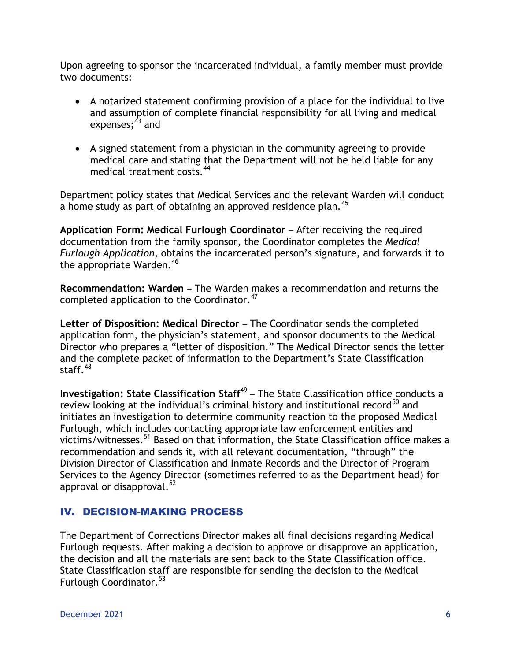Upon agreeing to sponsor the incarcerated individual, a family member must provide two documents:

- A notarized statement confirming provision of a place for the individual to live and assumption of complete financial responsibility for all living and medical expenses; $^{43}$  and
- A signed statement from a physician in the community agreeing to provide medical care and stating that the Department will not be held liable for any medical treatment costs.<sup>44</sup>

Department policy states that Medical Services and the relevant Warden will conduct a home study as part of obtaining an approved residence plan.<sup>45</sup>

**Application Form: Medical Furlough Coordinator** – After receiving the required documentation from the family sponsor, the Coordinator completes the *Medical Furlough Application*, obtains the incarcerated person's signature, and forwards it to the appropriate Warden.<sup>46</sup>

**Recommendation: Warden** – The Warden makes a recommendation and returns the completed application to the Coordinator.<sup>47</sup>

**Letter of Disposition: Medical Director** – The Coordinator sends the completed application form, the physician's statement, and sponsor documents to the Medical Director who prepares a "letter of disposition." The Medical Director sends the letter and the complete packet of information to the Department's State Classification staff. $48$ 

**Investigation: State Classification Staff<sup>49</sup> – The State Classification office conducts a** review looking at the individual's criminal history and institutional record<sup>50</sup> and initiates an investigation to determine community reaction to the proposed Medical Furlough, which includes contacting appropriate law enforcement entities and victims/witnesses.<sup>51</sup> Based on that information, the State Classification office makes a recommendation and sends it, with all relevant documentation, "through" the Division Director of Classification and Inmate Records and the Director of Program Services to the Agency Director (sometimes referred to as the Department head) for approval or disapproval.<sup>52</sup>

### IV. DECISION-MAKING PROCESS

The Department of Corrections Director makes all final decisions regarding Medical Furlough requests. After making a decision to approve or disapprove an application, the decision and all the materials are sent back to the State Classification office. State Classification staff are responsible for sending the decision to the Medical Furlough Coordinator.<sup>53</sup>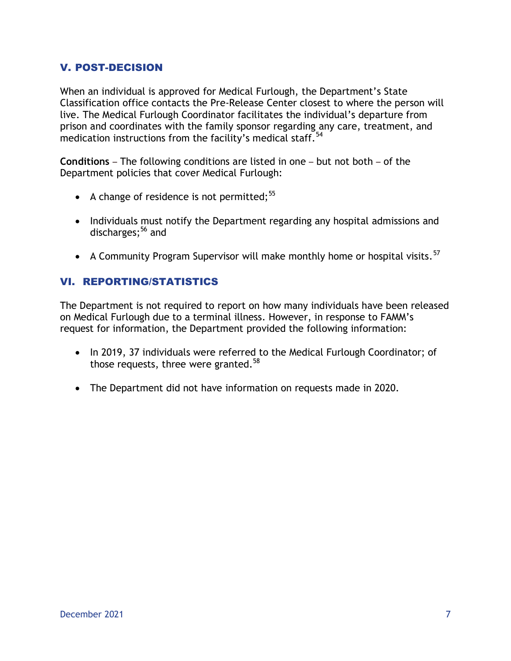### V. POST-DECISION

When an individual is approved for Medical Furlough, the Department's State Classification office contacts the Pre-Release Center closest to where the person will live. The Medical Furlough Coordinator facilitates the individual's departure from prison and coordinates with the family sponsor regarding any care, treatment, and medication instructions from the facility's medical staff.<sup>54</sup>

**Conditions** – The following conditions are listed in one – but not both – of the Department policies that cover Medical Furlough:

- A change of residence is not permitted: $55$
- Individuals must notify the Department regarding any hospital admissions and discharges; <sup>56</sup> and
- A Community Program Supervisor will make monthly home or hospital visits. $57$

### VI. REPORTING/STATISTICS

The Department is not required to report on how many individuals have been released on Medical Furlough due to a terminal illness. However, in response to FAMM's request for information, the Department provided the following information:

- In 2019, 37 individuals were referred to the Medical Furlough Coordinator; of those requests, three were granted.<sup>58</sup>
- The Department did not have information on requests made in 2020.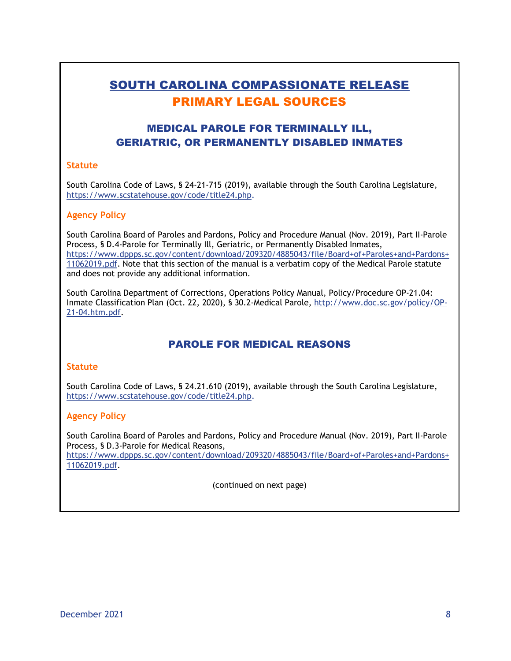# SOUTH CAROLINA COMPASSIONATE RELEASE PRIMARY LEGAL SOURCES

### MEDICAL PAROLE FOR TERMINALLY ILL, GERIATRIC, OR PERMANENTLY DISABLED INMATES

#### **Statute**

South Carolina Code of Laws, § 24-21-715 (2019), available through the South Carolina Legislature, [https://www.scstatehouse.gov/code/title24.php.](https://www.scstatehouse.gov/code/title24.php)

#### **Agency Policy**

South Carolina Board of Paroles and Pardons, Policy and Procedure Manual (Nov. 2019), Part II-Parole Process, § D.4-Parole for Terminally Ill, Geriatric, or Permanently Disabled Inmates, [https://www.dppps.sc.gov/content/download/209320/4885043/file/Board+of+Paroles+and+Pardons+](https://www.dppps.sc.gov/content/download/209320/4885043/file/Board+of+Paroles+and+Pardons+11062019.pdf) [11062019.pdf.](https://www.dppps.sc.gov/content/download/209320/4885043/file/Board+of+Paroles+and+Pardons+11062019.pdf) Note that this section of the manual is a verbatim copy of the Medical Parole statute and does not provide any additional information.

South Carolina Department of Corrections, Operations Policy Manual, Policy/Procedure OP-21.04: Inmate Classification Plan (Oct. 22, 2020), § 30.2-Medical Parole, [http://www.doc.sc.gov/policy/OP-](http://www.doc.sc.gov/policy/OP-21-04.htm.pdf)[21-04.htm.pdf.](http://www.doc.sc.gov/policy/OP-21-04.htm.pdf)

### PAROLE FOR MEDICAL REASONS

#### **Statute**

South Carolina Code of Laws, § 24.21.610 (2019), available through the South Carolina Legislature, [https://www.scstatehouse.gov/code/title24.php.](https://www.scstatehouse.gov/code/title24.php)

#### **Agency Policy**

South Carolina Board of Paroles and Pardons, Policy and Procedure Manual (Nov. 2019), Part II-Parole Process, § D.3-Parole for Medical Reasons, [https://www.dppps.sc.gov/content/download/209320/4885043/file/Board+of+Paroles+and+Pardons+](https://www.dppps.sc.gov/content/download/209320/4885043/file/Board+of+Paroles+and+Pardons+11062019.pdf) [11062019.pdf.](https://www.dppps.sc.gov/content/download/209320/4885043/file/Board+of+Paroles+and+Pardons+11062019.pdf)

(continued on next page)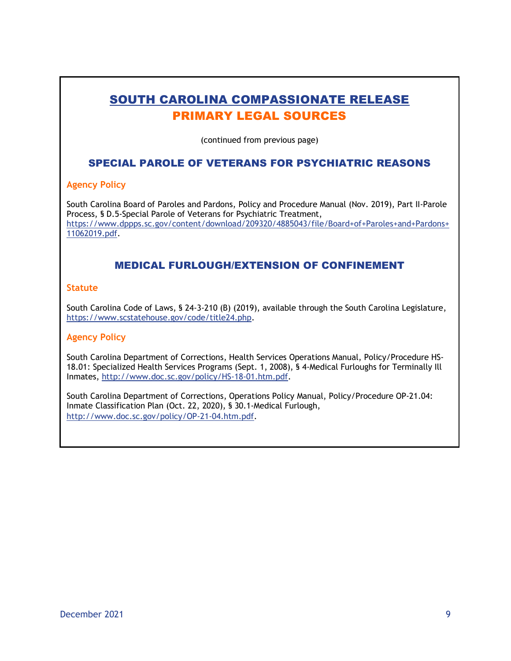# SOUTH CAROLINA COMPASSIONATE RELEASE PRIMARY LEGAL SOURCES

(continued from previous page)

### SPECIAL PAROLE OF VETERANS FOR PSYCHIATRIC REASONS

#### **Agency Policy**

South Carolina Board of Paroles and Pardons, Policy and Procedure Manual (Nov. 2019), Part II-Parole Process, § D.5-Special Parole of Veterans for Psychiatric Treatment, [https://www.dppps.sc.gov/content/download/209320/4885043/file/Board+of+Paroles+and+Pardons+](https://www.dppps.sc.gov/content/download/209320/4885043/file/Board+of+Paroles+and+Pardons+11062019.pdf) [11062019.pdf.](https://www.dppps.sc.gov/content/download/209320/4885043/file/Board+of+Paroles+and+Pardons+11062019.pdf)

### MEDICAL FURLOUGH/EXTENSION OF CONFINEMENT

#### **Statute**

South Carolina Code of Laws, § 24-3-210 (B) (2019), available through the South Carolina Legislature, [https://www.scstatehouse.gov/code/title24.php.](https://www.scstatehouse.gov/code/title24.php)

#### **Agency Policy**

South Carolina Department of Corrections, Health Services Operations Manual, Policy/Procedure HS-18.01: Specialized Health Services Programs (Sept. 1, 2008), § 4-Medical Furloughs for Terminally Ill Inmates, [http://www.doc.sc.gov/policy/HS-18-01.htm.pdf.](http://www.doc.sc.gov/policy/HS-18-01.htm.pdf)

South Carolina Department of Corrections, Operations Policy Manual, Policy/Procedure OP-21.04: Inmate Classification Plan (Oct. 22, 2020), § 30.1-Medical Furlough, [http://www.doc.sc.gov/policy/OP-21-04.htm.pdf.](http://www.doc.sc.gov/policy/OP-21-04.htm.pdf)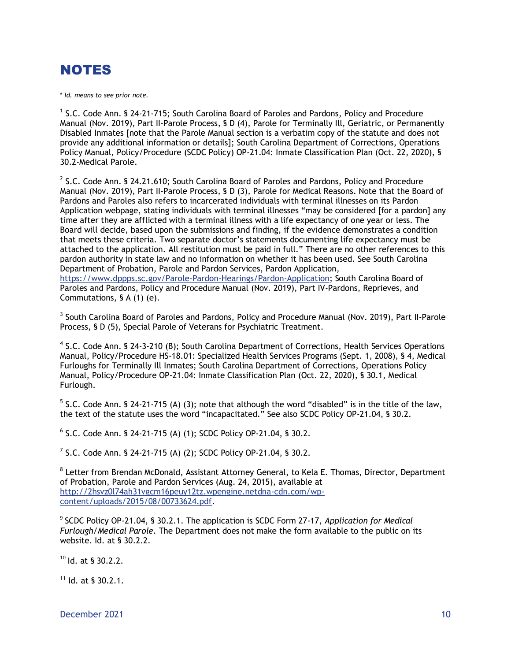# NOTES

\* *Id. means to see prior note.*

Commutations, § A (1) (e).

<sup>1</sup> S.C. Code Ann. § 24-21-715; South Carolina Board of Paroles and Pardons, Policy and Procedure Manual (Nov. 2019), Part II-Parole Process, § D (4), Parole for Terminally Ill, Geriatric, or Permanently Disabled Inmates [note that the Parole Manual section is a verbatim copy of the statute and does not provide any additional information or details]; South Carolina Department of Corrections, Operations Policy Manual*,* Policy/Procedure (SCDC Policy) OP-21.04: Inmate Classification Plan (Oct. 22, 2020), § 30.2-Medical Parole.

 $2$  S.C. Code Ann. § 24.21.610; South Carolina Board of Paroles and Pardons, Policy and Procedure Manual (Nov. 2019), Part II-Parole Process, § D (3), Parole for Medical Reasons. Note that the Board of Pardons and Paroles also refers to incarcerated individuals with terminal illnesses on its Pardon Application webpage, stating individuals with terminal illnesses "may be considered [for a pardon] any time after they are afflicted with a terminal illness with a life expectancy of one year or less. The Board will decide, based upon the submissions and finding, if the evidence demonstrates a condition that meets these criteria. Two separate doctor's statements documenting life expectancy must be attached to the application. All restitution must be paid in full." There are no other references to this pardon authority in state law and no information on whether it has been used. See South Carolina Department of Probation, Parole and Pardon Services, Pardon Application, [https://www.dppps.sc.gov/Parole-Pardon-Hearings/Pardon-Application;](https://www.dppps.sc.gov/Parole-Pardon-Hearings/Pardon-Application) South Carolina Board of Paroles and Pardons, Policy and Procedure Manual (Nov. 2019), Part IV-Pardons, Reprieves, and

<sup>3</sup> South Carolina Board of Paroles and Pardons, Policy and Procedure Manual (Nov. 2019), Part II-Parole Process, § D (5), Special Parole of Veterans for Psychiatric Treatment.

<sup>4</sup> S.C. Code Ann. § 24-3-210 (B); South Carolina Department of Corrections, Health Services Operations Manual, Policy/Procedure HS-18.01: Specialized Health Services Programs (Sept. 1, 2008), § 4, Medical Furloughs for Terminally Ill Inmates; South Carolina Department of Corrections, Operations Policy Manual, Policy/Procedure OP-21.04: Inmate Classification Plan (Oct. 22, 2020), § 30.1, Medical Furlough.

 $5$  S.C. Code Ann. § 24-21-715 (A) (3); note that although the word "disabled" is in the title of the law, the text of the statute uses the word "incapacitated." See also SCDC Policy OP-21.04, § 30.2.

6 S.C. Code Ann. § 24-21-715 (A) (1); SCDC Policy OP-21.04, § 30.2.

<sup>7</sup> S.C. Code Ann. § 24-21-715 (A) (2); SCDC Policy OP-21.04, § 30.2.

<sup>8</sup> Letter from Brendan McDonald, Assistant Attorney General, to Kela E. Thomas, Director, Department of Probation, Parole and Pardon Services (Aug. 24, 2015), available at [http://2hsvz0l74ah31vgcm16peuy12tz.wpengine.netdna-cdn.com/wp](http://2hsvz0l74ah31vgcm16peuy12tz.wpengine.netdna-cdn.com/wp-content/uploads/2015/08/00733624.pdf)[content/uploads/2015/08/00733624.pdf.](http://2hsvz0l74ah31vgcm16peuy12tz.wpengine.netdna-cdn.com/wp-content/uploads/2015/08/00733624.pdf)

9 SCDC Policy OP-21.04, § 30.2.1. The application is SCDC Form 27-17, *Application for Medical Furlough/Medical Parole*. The Department does not make the form available to the public on its website. Id. at § 30.2.2.

<sup>10</sup> Id. at § 30.2.2.

 $11$  Id. at § 30.2.1.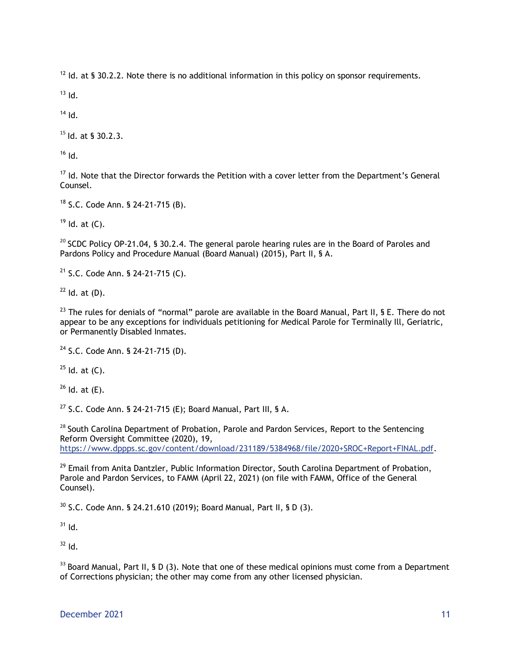$12$  Id. at § 30.2.2. Note there is no additional information in this policy on sponsor requirements.

 $13$  Id.

 $14$  Id.

 $15$  Id. at § 30.2.3.

 $16$  Id.

<sup>17</sup> Id. Note that the Director forwards the Petition with a cover letter from the Department's General Counsel.

<sup>18</sup> S.C. Code Ann. § 24-21-715 (B).

 $19$  Id. at (C).

 $20$  SCDC Policy OP-21.04, § 30.2.4. The general parole hearing rules are in the Board of Paroles and Pardons Policy and Procedure Manual (Board Manual) (2015), Part II, § A.

 $21$  S.C. Code Ann. § 24-21-715 (C).

 $22$  Id. at (D).

 $^{23}$  The rules for denials of "normal" parole are available in the Board Manual, Part II, § E. There do not appear to be any exceptions for individuals petitioning for Medical Parole for Terminally Ill, Geriatric, or Permanently Disabled Inmates.

<sup>24</sup> S.C. Code Ann. § 24-21-715 (D).

 $25$  Id. at (C).

 $26$  Id. at  $(E)$ .

<sup>27</sup> S.C. Code Ann. § 24-21-715 (E); Board Manual, Part III, § A.

<sup>28</sup> South Carolina Department of Probation, Parole and Pardon Services, Report to the Sentencing Reform Oversight Committee (2020), 19, [https://www.dppps.sc.gov/content/download/231189/5384968/file/2020+SROC+Report+FINAL.pdf.](https://www.dppps.sc.gov/content/download/231189/5384968/file/2020+SROC+Report+FINAL.pdf)

<sup>29</sup> Email from Anita Dantzler, Public Information Director, South Carolina Department of Probation, Parole and Pardon Services, to FAMM (April 22, 2021) (on file with FAMM, Office of the General Counsel).

<sup>30</sup> S.C. Code Ann. § 24.21.610 (2019); Board Manual*,* Part II, § D (3).

 $31$  Id.

 $32$  Id.

<sup>33</sup> Board Manual*,* Part II, § D (3). Note that one of these medical opinions must come from a Department of Corrections physician; the other may come from any other licensed physician.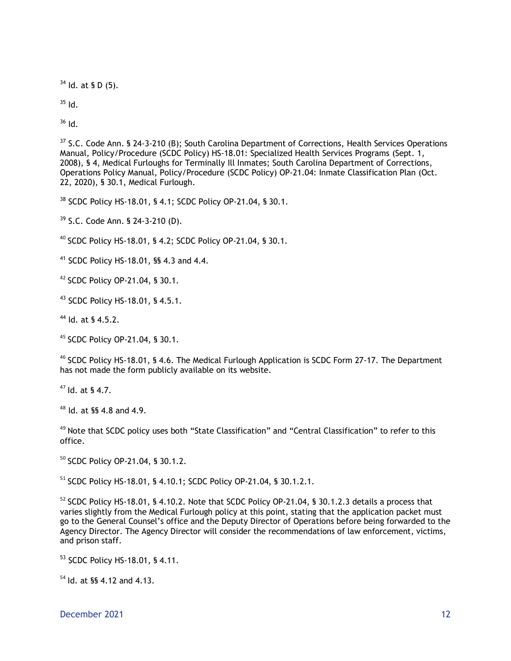$34$  Id. at § D (5).

 $35$  Id.

 $36$  Id.

 $37$  S.C. Code Ann. § 24-3-210 (B): South Carolina Department of Corrections, Health Services Operations Manual*,* Policy/Procedure (SCDC Policy) HS-18.01: Specialized Health Services Programs (Sept. 1, 2008), § 4, Medical Furloughs for Terminally Ill Inmates; South Carolina Department of Corrections, Operations Policy Manual, Policy/Procedure (SCDC Policy) OP-21.04: Inmate Classification Plan (Oct. 22, 2020), § 30.1, Medical Furlough.

<sup>38</sup> SCDC Policy HS-18.01, § 4.1; SCDC Policy OP-21.04, § 30.1.

<sup>39</sup> S.C. Code Ann. § 24-3-210 (D).

<sup>40</sup> SCDC Policy HS-18.01, § 4.2; SCDC Policy OP-21.04, § 30.1.

<sup>41</sup> SCDC Policy HS-18.01, §§ 4.3 and 4.4.

<sup>42</sup> SCDC Policy OP-21.04, § 30.1.

<sup>43</sup> SCDC Policy HS-18.01, § 4.5.1.

<sup>44</sup> Id. at § 4.5.2.

<sup>45</sup> SCDC Policy OP-21.04, § 30.1.

<sup>46</sup> SCDC Policy HS-18.01, § 4.6. The Medical Furlough Application is SCDC Form 27-17. The Department has not made the form publicly available on its website.

 $47$  Id. at § 4.7.

<sup>48</sup> Id. at §§ 4.8 and 4.9.

 $49$  Note that SCDC policy uses both "State Classification" and "Central Classification" to refer to this office.

<sup>50</sup> SCDC Policy OP-21.04, § 30.1.2.

<sup>51</sup> SCDC Policy HS-18.01, § 4.10.1; SCDC Policy OP-21.04, § 30.1.2.1.

<sup>52</sup> SCDC Policy HS-18.01, § 4.10.2. Note that SCDC Policy OP-21.04, § 30.1.2.3 details a process that varies slightly from the Medical Furlough policy at this point, stating that the application packet must go to the General Counsel's office and the Deputy Director of Operations before being forwarded to the Agency Director. The Agency Director will consider the recommendations of law enforcement, victims, and prison staff.

<sup>53</sup> SCDC Policy HS-18.01, § 4.11.

<sup>54</sup> Id. at §§ 4.12 and 4.13.